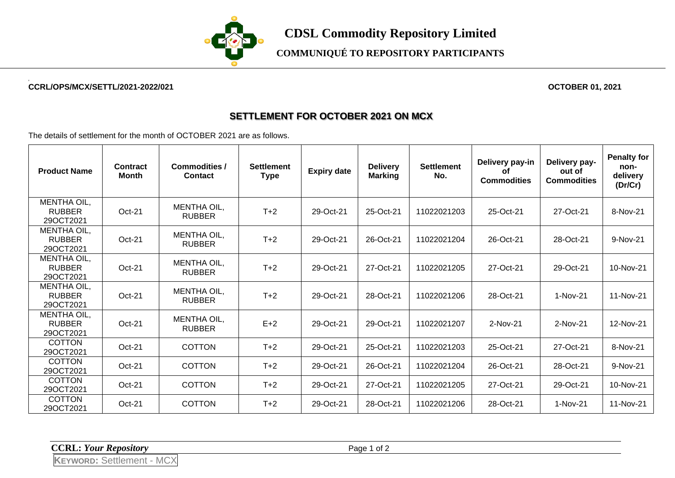

## **COMMUNIQUÉ TO REPOSITORY PARTICIPANTS**

#### **2 CCRL/OPS/MCX/SETTL/2021-2022/021 OCTOBER 01, 2021**

### **SETTLEMENT FOR OCTOBER 2021 ON MCX**

The details of settlement for the month of OCTOBER 2021 are as follows.

| <b>Product Name</b>                              | Contract<br><b>Month</b> | <b>Commodities /</b><br><b>Contact</b> | <b>Settlement</b><br><b>Type</b> | <b>Expiry date</b> | <b>Delivery</b><br><b>Marking</b> | <b>Settlement</b><br>No. | Delivery pay-in<br>Οf<br><b>Commodities</b> | Delivery pay-<br>out of<br><b>Commodities</b> | <b>Penalty for</b><br>non-<br>delivery<br>(Dr/Cr) |
|--------------------------------------------------|--------------------------|----------------------------------------|----------------------------------|--------------------|-----------------------------------|--------------------------|---------------------------------------------|-----------------------------------------------|---------------------------------------------------|
| MENTHA OIL,<br><b>RUBBER</b><br>29OCT2021        | Oct-21                   | <b>MENTHA OIL,</b><br><b>RUBBER</b>    | $T+2$                            | 29-Oct-21          | 25-Oct-21                         | 11022021203              | 25-Oct-21                                   | 27-Oct-21                                     | 8-Nov-21                                          |
| <b>MENTHA OIL,</b><br><b>RUBBER</b><br>29OCT2021 | Oct-21                   | <b>MENTHA OIL,</b><br><b>RUBBER</b>    | $T+2$                            | 29-Oct-21          | 26-Oct-21                         | 11022021204              | 26-Oct-21                                   | 28-Oct-21                                     | 9-Nov-21                                          |
| <b>MENTHA OIL,</b><br><b>RUBBER</b><br>29OCT2021 | Oct-21                   | MENTHA OIL,<br><b>RUBBER</b>           | $T+2$                            | 29-Oct-21          | 27-Oct-21                         | 11022021205              | 27-Oct-21                                   | 29-Oct-21                                     | 10-Nov-21                                         |
| MENTHA OIL,<br><b>RUBBER</b><br>29OCT2021        | Oct-21                   | <b>MENTHA OIL,</b><br><b>RUBBER</b>    | $T+2$                            | 29-Oct-21          | 28-Oct-21                         | 11022021206              | 28-Oct-21                                   | 1-Nov-21                                      | 11-Nov-21                                         |
| <b>MENTHA OIL,</b><br><b>RUBBER</b><br>29OCT2021 | Oct-21                   | MENTHA OIL,<br><b>RUBBER</b>           | $E+2$                            | 29-Oct-21          | 29-Oct-21                         | 11022021207              | 2-Nov-21                                    | 2-Nov-21                                      | 12-Nov-21                                         |
| <b>COTTON</b><br>29OCT2021                       | Oct-21                   | <b>COTTON</b>                          | $T+2$                            | 29-Oct-21          | 25-Oct-21                         | 11022021203              | 25-Oct-21                                   | 27-Oct-21                                     | 8-Nov-21                                          |
| <b>COTTON</b><br>29OCT2021                       | Oct-21                   | <b>COTTON</b>                          | $T+2$                            | 29-Oct-21          | 26-Oct-21                         | 11022021204              | 26-Oct-21                                   | 28-Oct-21                                     | 9-Nov-21                                          |
| <b>COTTON</b><br>29OCT2021                       | Oct-21                   | <b>COTTON</b>                          | $T+2$                            | 29-Oct-21          | 27-Oct-21                         | 11022021205              | 27-Oct-21                                   | 29-Oct-21                                     | 10-Nov-21                                         |
| <b>COTTON</b><br>29OCT2021                       | Oct-21                   | <b>COTTON</b>                          | $T+2$                            | 29-Oct-21          | 28-Oct-21                         | 11022021206              | 28-Oct-21                                   | 1-Nov-21                                      | 11-Nov-21                                         |

**CCRL:** *Your Repository* Page 1 of 2